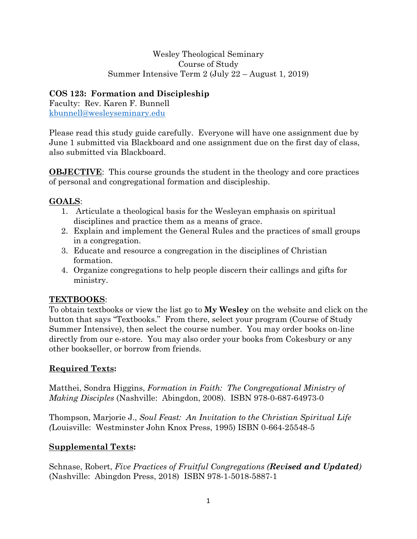#### Wesley Theological Seminary Course of Study Summer Intensive Term 2 (July 22 – August 1, 2019)

## **COS 123: Formation and Discipleship**

Faculty: Rev. Karen F. Bunnell kbunnell@wesleyseminary.edu

Please read this study guide carefully. Everyone will have one assignment due by June 1 submitted via Blackboard and one assignment due on the first day of class, also submitted via Blackboard.

**OBJECTIVE**: This course grounds the student in the theology and core practices of personal and congregational formation and discipleship.

## **GOALS**:

- 1. Articulate a theological basis for the Wesleyan emphasis on spiritual disciplines and practice them as a means of grace.
- 2. Explain and implement the General Rules and the practices of small groups in a congregation.
- 3. Educate and resource a congregation in the disciplines of Christian formation.
- 4. Organize congregations to help people discern their callings and gifts for ministry.

## **TEXTBOOKS**:

To obtain textbooks or view the list go to **My Wesley** on the website and click on the button that says "Textbooks." From there, select your program (Course of Study Summer Intensive), then select the course number. You may order books on-line directly from our e-store. You may also order your books from Cokesbury or any other bookseller, or borrow from friends.

# **Required Texts:**

Matthei, Sondra Higgins, *Formation in Faith: The Congregational Ministry of Making Disciples* (Nashville: Abingdon, 2008). ISBN 978-0-687-64973-0

Thompson, Marjorie J., *Soul Feast: An Invitation to the Christian Spiritual Life (*Louisville: Westminster John Knox Press, 1995) ISBN 0-664-25548-5

# **Supplemental Texts:**

Schnase, Robert, *Five Practices of Fruitful Congregations (Revised and Updated)*  (Nashville: Abingdon Press, 2018) ISBN 978-1-5018-5887-1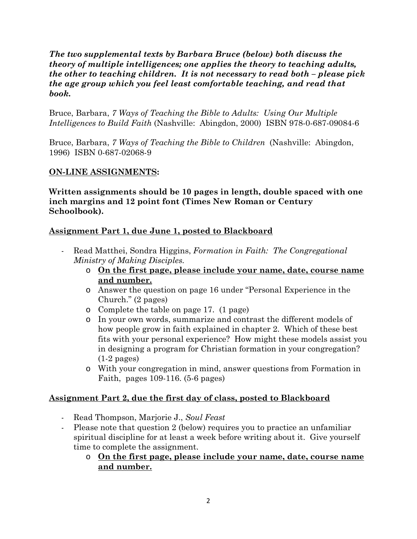#### *The two supplemental texts by Barbara Bruce (below) both discuss the theory of multiple intelligences; one applies the theory to teaching adults, the other to teaching children. It is not necessary to read both – please pick the age group which you feel least comfortable teaching, and read that book.*

Bruce, Barbara, *7 Ways of Teaching the Bible to Adults: Using Our Multiple Intelligences to Build Faith* (Nashville: Abingdon, 2000) ISBN 978-0-687-09084-6

Bruce, Barbara, *7 Ways of Teaching the Bible to Children* (Nashville: Abingdon, 1996) ISBN 0-687-02068-9

#### **ON-LINE ASSIGNMENTS:**

**Written assignments should be 10 pages in length, double spaced with one inch margins and 12 point font (Times New Roman or Century Schoolbook).** 

#### **Assignment Part 1, due June 1, posted to Blackboard**

- Read Matthei, Sondra Higgins, *Formation in Faith: The Congregational Ministry of Making Disciples.*
	- o **On the first page, please include your name, date, course name and number.**
	- o Answer the question on page 16 under "Personal Experience in the Church." (2 pages)
	- o Complete the table on page 17. (1 page)
	- o In your own words, summarize and contrast the different models of how people grow in faith explained in chapter 2. Which of these best fits with your personal experience? How might these models assist you in designing a program for Christian formation in your congregation? (1-2 pages)
	- o With your congregation in mind, answer questions from Formation in Faith, pages 109-116. (5-6 pages)

#### **Assignment Part 2, due the first day of class, posted to Blackboard**

- Read Thompson, Marjorie J., *Soul Feast*
- Please note that question 2 (below) requires you to practice an unfamiliar spiritual discipline for at least a week before writing about it. Give yourself time to complete the assignment.
	- o **On the first page, please include your name, date, course name and number.**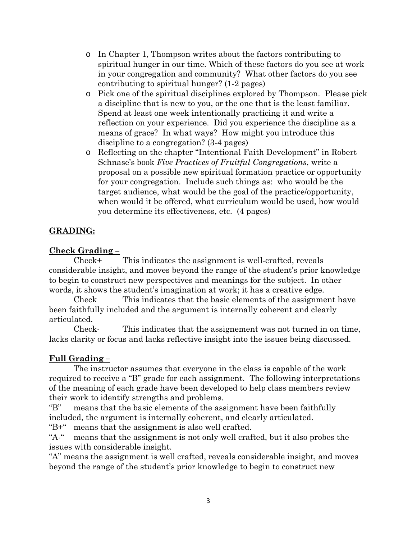- o In Chapter 1, Thompson writes about the factors contributing to spiritual hunger in our time. Which of these factors do you see at work in your congregation and community? What other factors do you see contributing to spiritual hunger? (1-2 pages)
- o Pick one of the spiritual disciplines explored by Thompson. Please pick a discipline that is new to you, or the one that is the least familiar. Spend at least one week intentionally practicing it and write a reflection on your experience. Did you experience the discipline as a means of grace? In what ways? How might you introduce this discipline to a congregation? (3-4 pages)
- o Reflecting on the chapter "Intentional Faith Development" in Robert Schnase's book *Five Practices of Fruitful Congregations*, write a proposal on a possible new spiritual formation practice or opportunity for your congregation. Include such things as: who would be the target audience, what would be the goal of the practice/opportunity, when would it be offered, what curriculum would be used, how would you determine its effectiveness, etc. (4 pages)

### **GRADING:**

### **Check Grading –**

 Check+ This indicates the assignment is well-crafted, reveals considerable insight, and moves beyond the range of the student's prior knowledge to begin to construct new perspectives and meanings for the subject. In other words, it shows the student's imagination at work; it has a creative edge.

 Check This indicates that the basic elements of the assignment have been faithfully included and the argument is internally coherent and clearly articulated.

 Check- This indicates that the assignement was not turned in on time, lacks clarity or focus and lacks reflective insight into the issues being discussed.

#### **Full Grading –**

 The instructor assumes that everyone in the class is capable of the work required to receive a "B" grade for each assignment. The following interpretations of the meaning of each grade have been developed to help class members review their work to identify strengths and problems.

"B" means that the basic elements of the assignment have been faithfully included, the argument is internally coherent, and clearly articulated.

"B+" means that the assignment is also well crafted.

"A-" means that the assignment is not only well crafted, but it also probes the issues with considerable insight.

"A" means the assignment is well crafted, reveals considerable insight, and moves beyond the range of the student's prior knowledge to begin to construct new